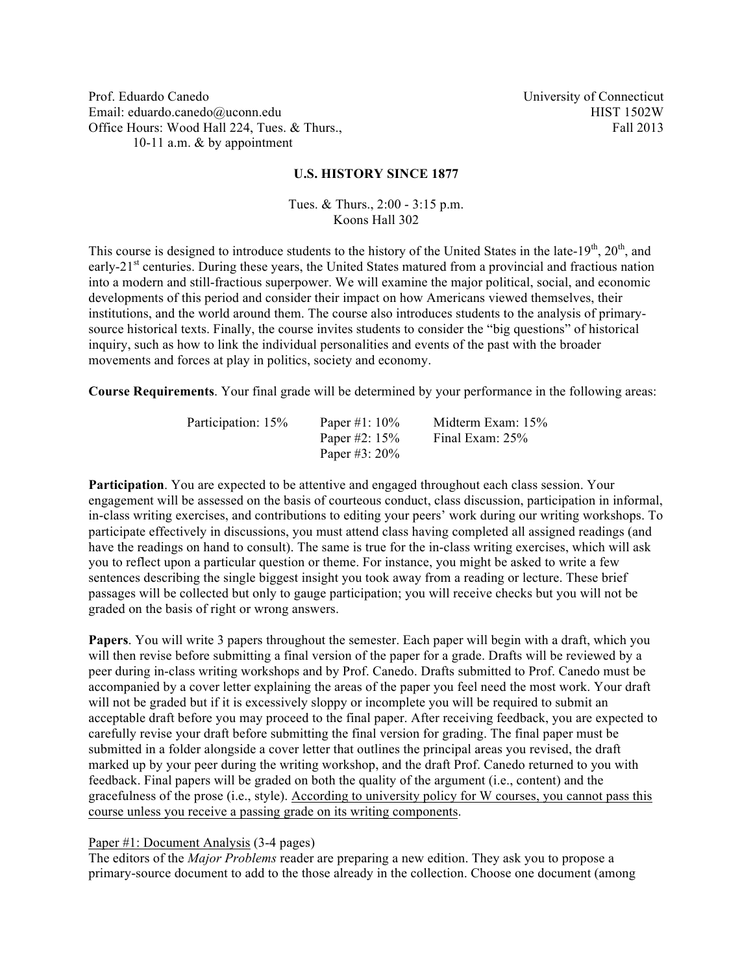Prof. Eduardo Canedo Email: eduardo.canedo@uconn.edu Office Hours: Wood Hall 224, Tues. & Thurs., 10-11 a.m. & by appointment

University of Connecticut HIST 1502W Fall 2013

### **U.S. HISTORY SINCE 1877**

Tues. & Thurs., 2:00 - 3:15 p.m. Koons Hall 302

This course is designed to introduce students to the history of the United States in the late-19<sup>th</sup>, 20<sup>th</sup>, and early-21<sup>st</sup> centuries. During these years, the United States matured from a provincial and fractious nation into a modern and still-fractious superpower. We will examine the major political, social, and economic developments of this period and consider their impact on how Americans viewed themselves, their institutions, and the world around them. The course also introduces students to the analysis of primarysource historical texts. Finally, the course invites students to consider the "big questions" of historical inquiry, such as how to link the individual personalities and events of the past with the broader movements and forces at play in politics, society and economy.

**Course Requirements**. Your final grade will be determined by your performance in the following areas:

| Participation: 15% | Paper #1: $10\%$ | Midterm Exam: 15% |
|--------------------|------------------|-------------------|
|                    | Paper #2: $15%$  | Final Exam: 25%   |
|                    | Paper #3: $20\%$ |                   |

**Participation**. You are expected to be attentive and engaged throughout each class session. Your engagement will be assessed on the basis of courteous conduct, class discussion, participation in informal, in-class writing exercises, and contributions to editing your peers' work during our writing workshops. To participate effectively in discussions, you must attend class having completed all assigned readings (and have the readings on hand to consult). The same is true for the in-class writing exercises, which will ask you to reflect upon a particular question or theme. For instance, you might be asked to write a few sentences describing the single biggest insight you took away from a reading or lecture. These brief passages will be collected but only to gauge participation; you will receive checks but you will not be graded on the basis of right or wrong answers.

**Papers**. You will write 3 papers throughout the semester. Each paper will begin with a draft, which you will then revise before submitting a final version of the paper for a grade. Drafts will be reviewed by a peer during in-class writing workshops and by Prof. Canedo. Drafts submitted to Prof. Canedo must be accompanied by a cover letter explaining the areas of the paper you feel need the most work. Your draft will not be graded but if it is excessively sloppy or incomplete you will be required to submit an acceptable draft before you may proceed to the final paper. After receiving feedback, you are expected to carefully revise your draft before submitting the final version for grading. The final paper must be submitted in a folder alongside a cover letter that outlines the principal areas you revised, the draft marked up by your peer during the writing workshop, and the draft Prof. Canedo returned to you with feedback. Final papers will be graded on both the quality of the argument (i.e., content) and the gracefulness of the prose (i.e., style). According to university policy for W courses, you cannot pass this course unless you receive a passing grade on its writing components.

#### Paper #1: Document Analysis (3-4 pages)

The editors of the *Major Problems* reader are preparing a new edition. They ask you to propose a primary-source document to add to the those already in the collection. Choose one document (among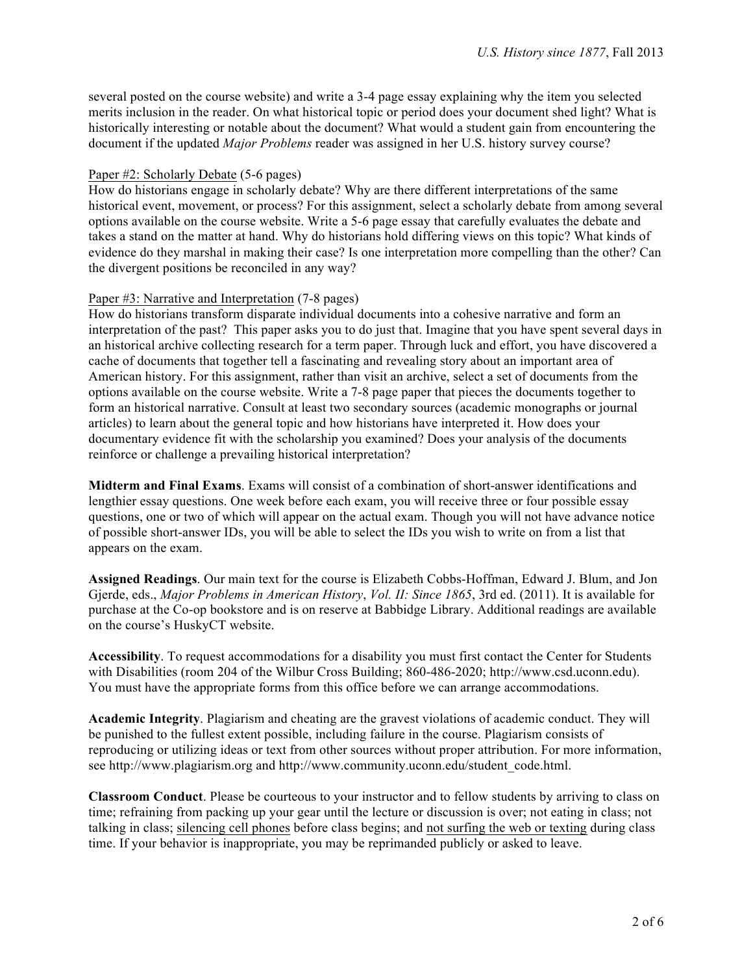several posted on the course website) and write a 3-4 page essay explaining why the item you selected merits inclusion in the reader. On what historical topic or period does your document shed light? What is historically interesting or notable about the document? What would a student gain from encountering the document if the updated *Major Problems* reader was assigned in her U.S. history survey course?

## Paper #2: Scholarly Debate (5-6 pages)

How do historians engage in scholarly debate? Why are there different interpretations of the same historical event, movement, or process? For this assignment, select a scholarly debate from among several options available on the course website. Write a 5-6 page essay that carefully evaluates the debate and takes a stand on the matter at hand. Why do historians hold differing views on this topic? What kinds of evidence do they marshal in making their case? Is one interpretation more compelling than the other? Can the divergent positions be reconciled in any way?

## Paper #3: Narrative and Interpretation (7-8 pages)

How do historians transform disparate individual documents into a cohesive narrative and form an interpretation of the past? This paper asks you to do just that. Imagine that you have spent several days in an historical archive collecting research for a term paper. Through luck and effort, you have discovered a cache of documents that together tell a fascinating and revealing story about an important area of American history. For this assignment, rather than visit an archive, select a set of documents from the options available on the course website. Write a 7-8 page paper that pieces the documents together to form an historical narrative. Consult at least two secondary sources (academic monographs or journal articles) to learn about the general topic and how historians have interpreted it. How does your documentary evidence fit with the scholarship you examined? Does your analysis of the documents reinforce or challenge a prevailing historical interpretation?

**Midterm and Final Exams**. Exams will consist of a combination of short-answer identifications and lengthier essay questions. One week before each exam, you will receive three or four possible essay questions, one or two of which will appear on the actual exam. Though you will not have advance notice of possible short-answer IDs, you will be able to select the IDs you wish to write on from a list that appears on the exam.

**Assigned Readings**. Our main text for the course is Elizabeth Cobbs-Hoffman, Edward J. Blum, and Jon Gjerde, eds., *Major Problems in American History*, *Vol. II: Since 1865*, 3rd ed. (2011). It is available for purchase at the Co-op bookstore and is on reserve at Babbidge Library. Additional readings are available on the course's HuskyCT website.

**Accessibility**. To request accommodations for a disability you must first contact the Center for Students with Disabilities (room 204 of the Wilbur Cross Building; 860-486-2020; http://www.csd.uconn.edu). You must have the appropriate forms from this office before we can arrange accommodations.

**Academic Integrity**. Plagiarism and cheating are the gravest violations of academic conduct. They will be punished to the fullest extent possible, including failure in the course. Plagiarism consists of reproducing or utilizing ideas or text from other sources without proper attribution. For more information, see http://www.plagiarism.org and http://www.community.uconn.edu/student\_code.html.

**Classroom Conduct**. Please be courteous to your instructor and to fellow students by arriving to class on time; refraining from packing up your gear until the lecture or discussion is over; not eating in class; not talking in class; silencing cell phones before class begins; and not surfing the web or texting during class time. If your behavior is inappropriate, you may be reprimanded publicly or asked to leave.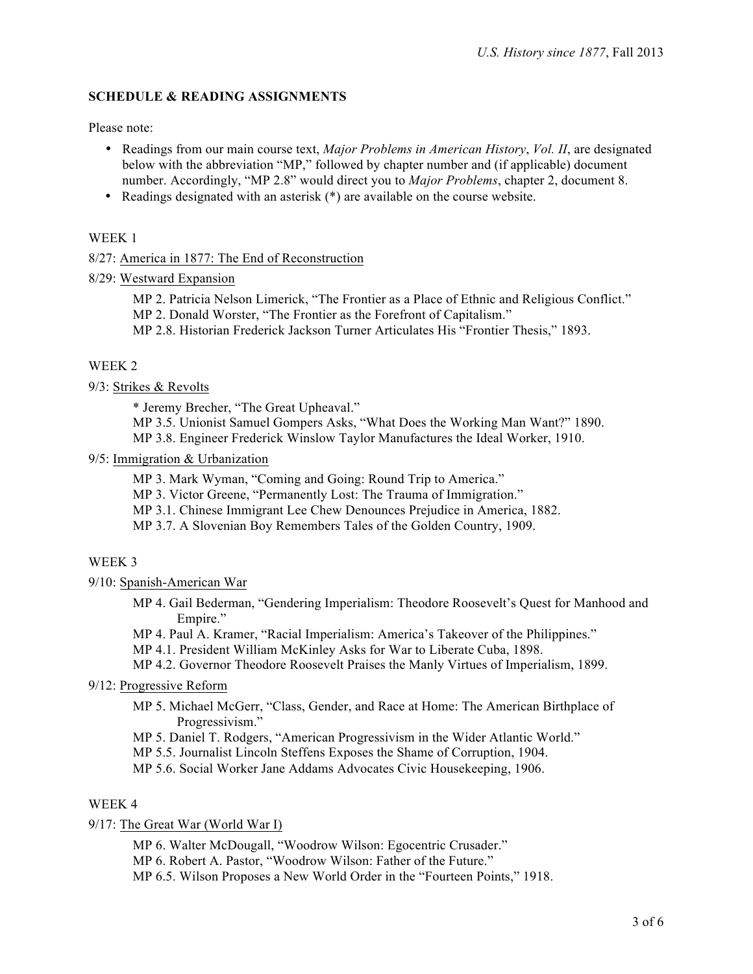## **SCHEDULE & READING ASSIGNMENTS**

Please note:

- Readings from our main course text, *Major Problems in American History*, *Vol. II*, are designated below with the abbreviation "MP," followed by chapter number and (if applicable) document number. Accordingly, "MP 2.8" would direct you to *Major Problems*, chapter 2, document 8.
- Readings designated with an asterisk (\*) are available on the course website.

### WEEK 1

8/27: America in 1877: The End of Reconstruction

- 8/29: Westward Expansion
	- MP 2. Patricia Nelson Limerick, "The Frontier as a Place of Ethnic and Religious Conflict."
	- MP 2. Donald Worster, "The Frontier as the Forefront of Capitalism."

MP 2.8. Historian Frederick Jackson Turner Articulates His "Frontier Thesis," 1893.

## WEEK 2

### 9/3: Strikes & Revolts

\* Jeremy Brecher, "The Great Upheaval."

MP 3.5. Unionist Samuel Gompers Asks, "What Does the Working Man Want?" 1890.

MP 3.8. Engineer Frederick Winslow Taylor Manufactures the Ideal Worker, 1910.

### 9/5: Immigration & Urbanization

MP 3. Mark Wyman, "Coming and Going: Round Trip to America."

MP 3. Victor Greene, "Permanently Lost: The Trauma of Immigration."

- MP 3.1. Chinese Immigrant Lee Chew Denounces Prejudice in America, 1882.
- MP 3.7. A Slovenian Boy Remembers Tales of the Golden Country, 1909.

## WEEK 3

9/10: Spanish-American War

- MP 4. Gail Bederman, "Gendering Imperialism: Theodore Roosevelt's Quest for Manhood and Empire."
- MP 4. Paul A. Kramer, "Racial Imperialism: America's Takeover of the Philippines."
- MP 4.1. President William McKinley Asks for War to Liberate Cuba, 1898.
- MP 4.2. Governor Theodore Roosevelt Praises the Manly Virtues of Imperialism, 1899.

## 9/12: Progressive Reform

- MP 5. Michael McGerr, "Class, Gender, and Race at Home: The American Birthplace of Progressivism."
- MP 5. Daniel T. Rodgers, "American Progressivism in the Wider Atlantic World."
- MP 5.5. Journalist Lincoln Steffens Exposes the Shame of Corruption, 1904.

MP 5.6. Social Worker Jane Addams Advocates Civic Housekeeping, 1906.

## WEEK 4

9/17: The Great War (World War I)

MP 6. Walter McDougall, "Woodrow Wilson: Egocentric Crusader."

MP 6. Robert A. Pastor, "Woodrow Wilson: Father of the Future."

MP 6.5. Wilson Proposes a New World Order in the "Fourteen Points," 1918.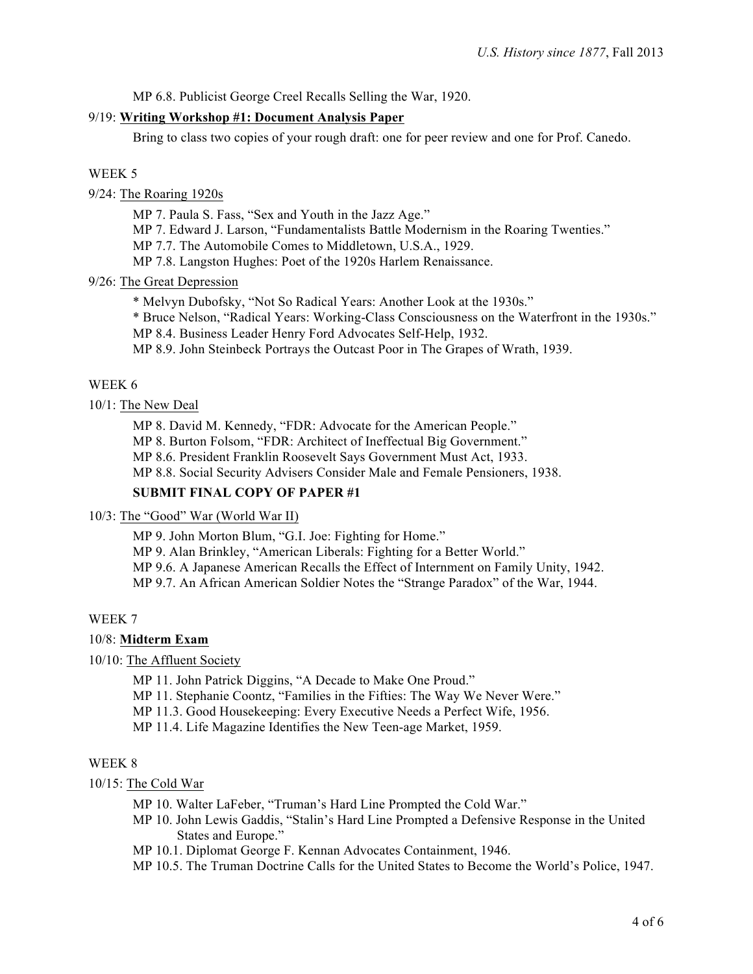MP 6.8. Publicist George Creel Recalls Selling the War, 1920.

### 9/19: **Writing Workshop #1: Document Analysis Paper**

Bring to class two copies of your rough draft: one for peer review and one for Prof. Canedo.

### WEEK 5

9/24: The Roaring 1920s

MP 7. Paula S. Fass, "Sex and Youth in the Jazz Age."

MP 7. Edward J. Larson, "Fundamentalists Battle Modernism in the Roaring Twenties."

MP 7.7. The Automobile Comes to Middletown, U.S.A., 1929.

MP 7.8. Langston Hughes: Poet of the 1920s Harlem Renaissance.

### 9/26: The Great Depression

\* Melvyn Dubofsky, "Not So Radical Years: Another Look at the 1930s."

\* Bruce Nelson, "Radical Years: Working-Class Consciousness on the Waterfront in the 1930s."

MP 8.4. Business Leader Henry Ford Advocates Self-Help, 1932.

MP 8.9. John Steinbeck Portrays the Outcast Poor in The Grapes of Wrath, 1939.

## WEEK 6

## 10/1: The New Deal

MP 8. David M. Kennedy, "FDR: Advocate for the American People."

MP 8. Burton Folsom, "FDR: Architect of Ineffectual Big Government."

MP 8.6. President Franklin Roosevelt Says Government Must Act, 1933.

MP 8.8. Social Security Advisers Consider Male and Female Pensioners, 1938.

## **SUBMIT FINAL COPY OF PAPER #1**

#### 10/3: The "Good" War (World War II)

MP 9. John Morton Blum, "G.I. Joe: Fighting for Home."

MP 9. Alan Brinkley, "American Liberals: Fighting for a Better World."

MP 9.6. A Japanese American Recalls the Effect of Internment on Family Unity, 1942.

MP 9.7. An African American Soldier Notes the "Strange Paradox" of the War, 1944.

#### WEEK 7

### 10/8: **Midterm Exam**

10/10: The Affluent Society

MP 11. John Patrick Diggins, "A Decade to Make One Proud."

MP 11. Stephanie Coontz, "Families in the Fifties: The Way We Never Were."

MP 11.3. Good Housekeeping: Every Executive Needs a Perfect Wife, 1956.

MP 11.4. Life Magazine Identifies the New Teen-age Market, 1959.

### WEEK 8

#### 10/15: The Cold War

MP 10. Walter LaFeber, "Truman's Hard Line Prompted the Cold War."

MP 10. John Lewis Gaddis, "Stalin's Hard Line Prompted a Defensive Response in the United States and Europe."

MP 10.1. Diplomat George F. Kennan Advocates Containment, 1946.

MP 10.5. The Truman Doctrine Calls for the United States to Become the World's Police, 1947.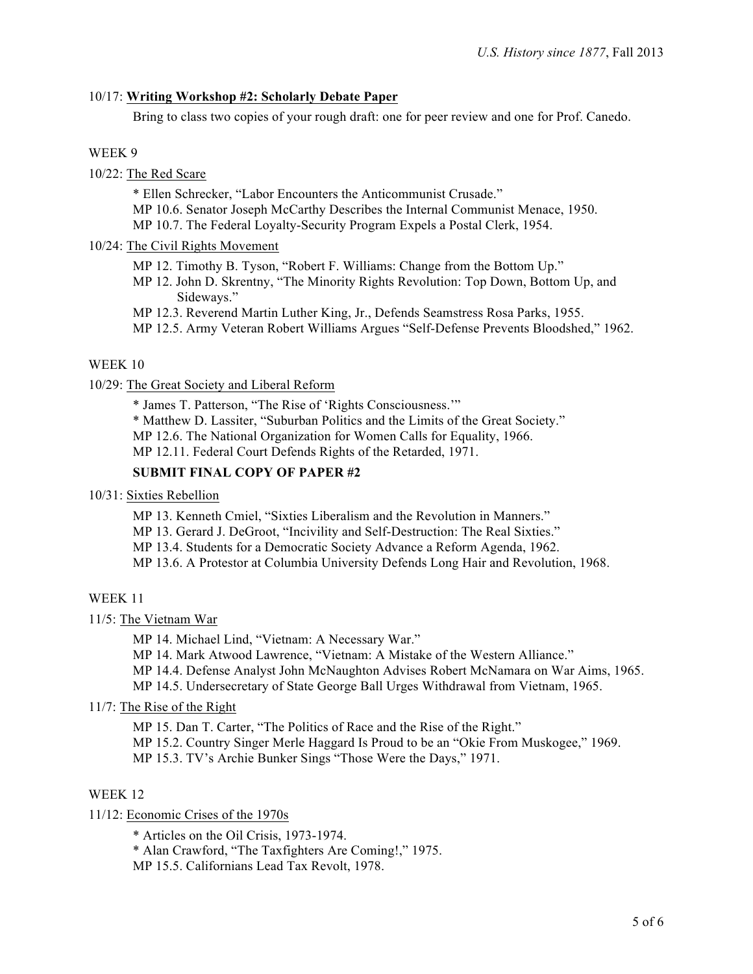## 10/17: **Writing Workshop #2: Scholarly Debate Paper**

Bring to class two copies of your rough draft: one for peer review and one for Prof. Canedo.

### WEEK 9

10/22: The Red Scare

\* Ellen Schrecker, "Labor Encounters the Anticommunist Crusade."

MP 10.6. Senator Joseph McCarthy Describes the Internal Communist Menace, 1950.

MP 10.7. The Federal Loyalty-Security Program Expels a Postal Clerk, 1954.

### 10/24: The Civil Rights Movement

- MP 12. Timothy B. Tyson, "Robert F. Williams: Change from the Bottom Up."
- MP 12. John D. Skrentny, "The Minority Rights Revolution: Top Down, Bottom Up, and Sideways."
- MP 12.3. Reverend Martin Luther King, Jr., Defends Seamstress Rosa Parks, 1955.
- MP 12.5. Army Veteran Robert Williams Argues "Self-Defense Prevents Bloodshed," 1962.

## WEEK 10

## 10/29: The Great Society and Liberal Reform

\* James T. Patterson, "The Rise of 'Rights Consciousness.'"

\* Matthew D. Lassiter, "Suburban Politics and the Limits of the Great Society."

MP 12.6. The National Organization for Women Calls for Equality, 1966.

MP 12.11. Federal Court Defends Rights of the Retarded, 1971.

### **SUBMIT FINAL COPY OF PAPER #2**

#### 10/31: Sixties Rebellion

MP 13. Kenneth Cmiel, "Sixties Liberalism and the Revolution in Manners."

MP 13. Gerard J. DeGroot, "Incivility and Self-Destruction: The Real Sixties."

MP 13.4. Students for a Democratic Society Advance a Reform Agenda, 1962.

MP 13.6. A Protestor at Columbia University Defends Long Hair and Revolution, 1968.

## WEEK 11

11/5: The Vietnam War

MP 14. Michael Lind, "Vietnam: A Necessary War."

MP 14. Mark Atwood Lawrence, "Vietnam: A Mistake of the Western Alliance."

MP 14.4. Defense Analyst John McNaughton Advises Robert McNamara on War Aims, 1965.

MP 14.5. Undersecretary of State George Ball Urges Withdrawal from Vietnam, 1965.

## 11/7: The Rise of the Right

MP 15. Dan T. Carter, "The Politics of Race and the Rise of the Right."

MP 15.2. Country Singer Merle Haggard Is Proud to be an "Okie From Muskogee," 1969.

MP 15.3. TV's Archie Bunker Sings "Those Were the Days," 1971.

## WEEK 12

## 11/12: Economic Crises of the 1970s

\* Articles on the Oil Crisis, 1973-1974.

\* Alan Crawford, "The Taxfighters Are Coming!," 1975.

MP 15.5. Californians Lead Tax Revolt, 1978.